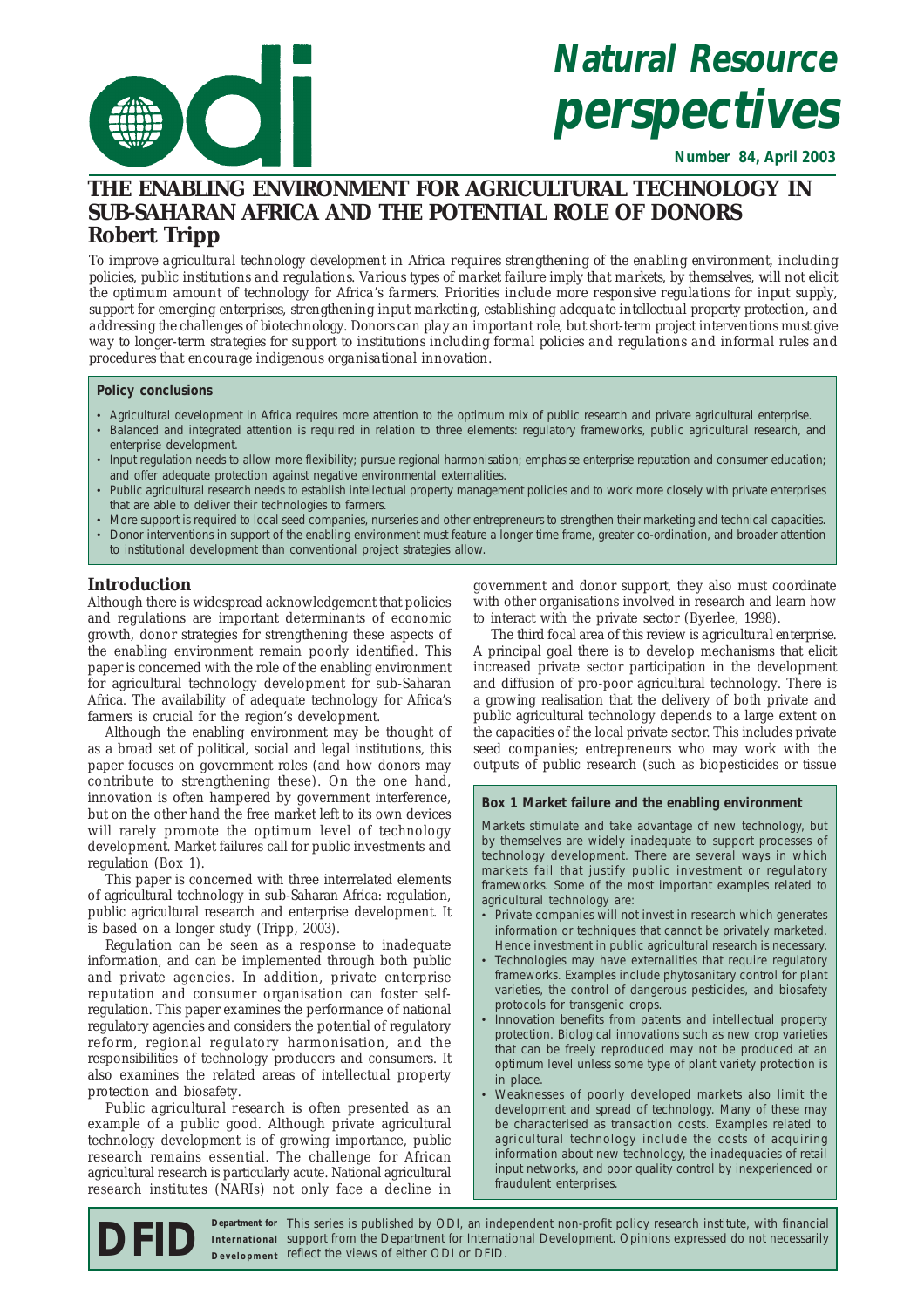

# **Natural Resource perspectives**

**Number 84, April 2003**

## **THE ENABLING ENVIRONMENT FOR AGRICULTURAL TECHNOLOGY IN SUB-SAHARAN AFRICA AND THE POTENTIAL ROLE OF DONORS Robert Tripp**

*To improve agricultural technology development in Africa requires strengthening of the enabling environment, including policies, public institutions and regulations. Various types of market failure imply that markets, by themselves, will not elicit the optimum amount of technology for Africa's farmers. Priorities include more responsive regulations for input supply, support for emerging enterprises, strengthening input marketing, establishing adequate intellectual property protection, and addressing the challenges of biotechnology. Donors can play an important role, but short-term project interventions must give way to longer-term strategies for support to institutions including formal policies and regulations and informal rules and procedures that encourage indigenous organisational innovation.*

#### **Policy conclusions**

- Agricultural development in Africa requires more attention to the optimum mix of public research and private agricultural enterprise.
- Balanced and integrated attention is required in relation to three elements: regulatory frameworks, public agricultural research, and enterprise development.
- Input regulation needs to allow more flexibility; pursue regional harmonisation; emphasise enterprise reputation and consumer education; and offer adequate protection against negative environmental externalities.
- Public agricultural research needs to establish intellectual property management policies and to work more closely with private enterprises that are able to deliver their technologies to farmers.
- More support is required to local seed companies, nurseries and other entrepreneurs to strengthen their marketing and technical capacities.
- Donor interventions in support of the enabling environment must feature a longer time frame, greater co-ordination, and broader attention to institutional development than conventional project strategies allow.

## **Introduction**

Although there is widespread acknowledgement that policies and regulations are important determinants of economic growth, donor strategies for strengthening these aspects of the enabling environment remain poorly identified. This paper is concerned with the role of the enabling environment for agricultural technology development for sub-Saharan Africa. The availability of adequate technology for Africa's farmers is crucial for the region's development.

Although the enabling environment may be thought of as a broad set of political, social and legal institutions, this paper focuses on government roles (and how donors may contribute to strengthening these). On the one hand, innovation is often hampered by government interference, but on the other hand the free market left to its own devices will rarely promote the optimum level of technology development. Market failures call for public investments and regulation (Box 1).

This paper is concerned with three interrelated elements of agricultural technology in sub-Saharan Africa: regulation, public agricultural research and enterprise development. It is based on a longer study (Tripp, 2003).

*Regulation* can be seen as a response to inadequate information, and can be implemented through both public and private agencies. In addition, private enterprise reputation and consumer organisation can foster selfregulation. This paper examines the performance of national regulatory agencies and considers the potential of regulatory reform, regional regulatory harmonisation, and the responsibilities of technology producers and consumers. It also examines the related areas of intellectual property protection and biosafety.

*Public agricultural research* is often presented as an example of a public good. Although private agricultural technology development is of growing importance, public research remains essential. The challenge for African agricultural research is particularly acute. National agricultural research institutes (NARIs) not only face a decline in

government and donor support, they also must coordinate with other organisations involved in research and learn how to interact with the private sector (Byerlee, 1998).

The third focal area of this review is *agricultural enterprise*. A principal goal there is to develop mechanisms that elicit increased private sector participation in the development and diffusion of pro-poor agricultural technology. There is a growing realisation that the delivery of both private and public agricultural technology depends to a large extent on the capacities of the local private sector. This includes private seed companies; entrepreneurs who may work with the outputs of public research (such as biopesticides or tissue

#### **Box 1 Market failure and the enabling environment**

Markets stimulate and take advantage of new technology, but by themselves are widely inadequate to support processes of technology development. There are several ways in which markets fail that justify public investment or regulatory frameworks. Some of the most important examples related to agricultural technology are:

- Private companies will not invest in research which generates information or techniques that cannot be privately marketed. Hence investment in public agricultural research is necessary.
- Technologies may have externalities that require regulatory frameworks. Examples include phytosanitary control for plant varieties, the control of dangerous pesticides, and biosafety protocols for transgenic crops.
- Innovation benefits from patents and intellectual property protection. Biological innovations such as new crop varieties that can be freely reproduced may not be produced at an optimum level unless some type of plant variety protection is in place.
- Weaknesses of poorly developed markets also limit the development and spread of technology. Many of these may be characterised as transaction costs. Examples related to agricultural technology include the costs of acquiring information about new technology, the inadequacies of retail input networks, and poor quality control by inexperienced or fraudulent enterprises.

**DFID** Department for This series is published by ODI, an independent non-profit policy research institute, with financial support from the Department for International Development. Opinions expressed do not necessarily be support from the Department for International Development. Opinions expressed do not necessarily **IDEID** Department for This series is published by ODI, an inde<br>Development reflect the views of either ODI or DFID. Department for This series is published by ODI, an independent non-profit policy research institute, with financial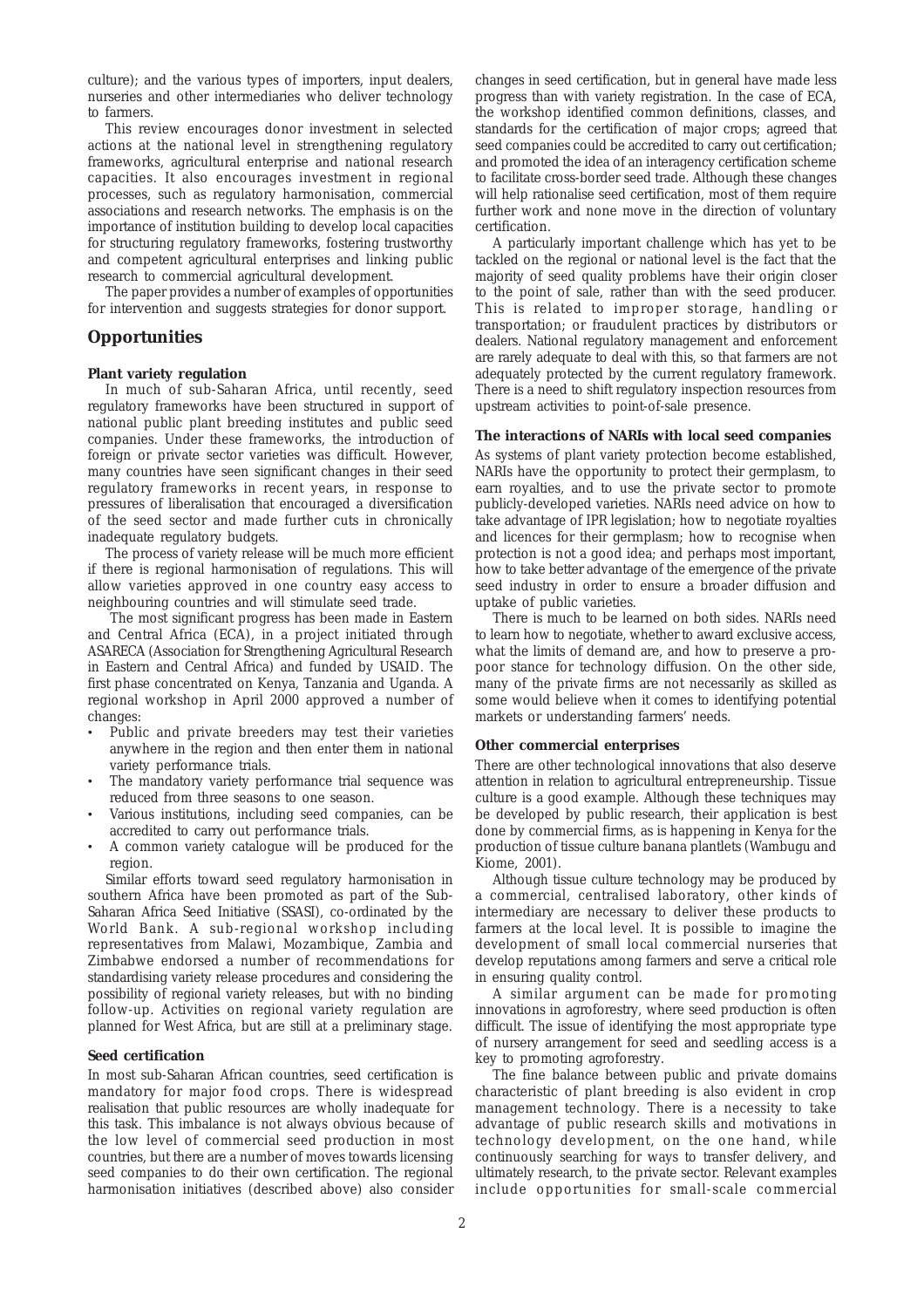culture); and the various types of importers, input dealers, nurseries and other intermediaries who deliver technology to farmers.

This review encourages donor investment in selected actions at the national level in strengthening regulatory frameworks, agricultural enterprise and national research capacities. It also encourages investment in regional processes, such as regulatory harmonisation, commercial associations and research networks. The emphasis is on the importance of institution building to develop local capacities for structuring regulatory frameworks, fostering trustworthy and competent agricultural enterprises and linking public research to commercial agricultural development.

The paper provides a number of examples of opportunities for intervention and suggests strategies for donor support.

## **Opportunities**

#### **Plant variety regulation**

In much of sub-Saharan Africa, until recently, seed regulatory frameworks have been structured in support of national public plant breeding institutes and public seed companies. Under these frameworks, the introduction of foreign or private sector varieties was difficult. However, many countries have seen significant changes in their seed regulatory frameworks in recent years, in response to pressures of liberalisation that encouraged a diversification of the seed sector and made further cuts in chronically inadequate regulatory budgets.

The process of variety release will be much more efficient if there is regional harmonisation of regulations. This will allow varieties approved in one country easy access to neighbouring countries and will stimulate seed trade.

 The most significant progress has been made in Eastern and Central Africa (ECA), in a project initiated through ASARECA (Association for Strengthening Agricultural Research in Eastern and Central Africa) and funded by USAID. The first phase concentrated on Kenya, Tanzania and Uganda. A regional workshop in April 2000 approved a number of changes:

- Public and private breeders may test their varieties anywhere in the region and then enter them in national variety performance trials.
- The mandatory variety performance trial sequence was reduced from three seasons to one season.
- Various institutions, including seed companies, can be accredited to carry out performance trials.
- A common variety catalogue will be produced for the region.

Similar efforts toward seed regulatory harmonisation in southern Africa have been promoted as part of the Sub-Saharan Africa Seed Initiative (SSASI), co-ordinated by the World Bank. A sub-regional workshop including representatives from Malawi, Mozambique, Zambia and Zimbabwe endorsed a number of recommendations for standardising variety release procedures and considering the possibility of regional variety releases, but with no binding follow-up. Activities on regional variety regulation are planned for West Africa, but are still at a preliminary stage.

#### **Seed certification**

In most sub-Saharan African countries, seed certification is mandatory for major food crops. There is widespread realisation that public resources are wholly inadequate for this task. This imbalance is not always obvious because of the low level of commercial seed production in most countries, but there are a number of moves towards licensing seed companies to do their own certification. The regional harmonisation initiatives (described above) also consider changes in seed certification, but in general have made less progress than with variety registration. In the case of ECA, the workshop identified common definitions, classes, and standards for the certification of major crops; agreed that seed companies could be accredited to carry out certification; and promoted the idea of an interagency certification scheme to facilitate cross-border seed trade. Although these changes will help rationalise seed certification, most of them require further work and none move in the direction of voluntary certification.

A particularly important challenge which has yet to be tackled on the regional or national level is the fact that the majority of seed quality problems have their origin closer to the point of sale, rather than with the seed producer. This is related to improper storage, handling or transportation; or fraudulent practices by distributors or dealers. National regulatory management and enforcement are rarely adequate to deal with this, so that farmers are not adequately protected by the current regulatory framework. There is a need to shift regulatory inspection resources from upstream activities to point-of-sale presence.

#### **The interactions of NARIs with local seed companies**

As systems of plant variety protection become established, NARIs have the opportunity to protect their germplasm, to earn royalties, and to use the private sector to promote publicly-developed varieties. NARIs need advice on how to take advantage of IPR legislation; how to negotiate royalties and licences for their germplasm; how to recognise when protection is *not* a good idea; and perhaps most important, how to take better advantage of the emergence of the private seed industry in order to ensure a broader diffusion and uptake of public varieties.

There is much to be learned on both sides. NARIs need to learn how to negotiate, whether to award exclusive access, what the limits of demand are, and how to preserve a propoor stance for technology diffusion. On the other side, many of the private firms are not necessarily as skilled as some would believe when it comes to identifying potential markets or understanding farmers' needs.

#### **Other commercial enterprises**

There are other technological innovations that also deserve attention in relation to agricultural entrepreneurship. Tissue culture is a good example. Although these techniques may be developed by public research, their application is best done by commercial firms, as is happening in Kenya for the production of tissue culture banana plantlets (Wambugu and Kiome, 2001).

Although tissue culture technology may be produced by a commercial, centralised laboratory, other kinds of intermediary are necessary to deliver these products to farmers at the local level. It is possible to imagine the development of small local commercial nurseries that develop reputations among farmers and serve a critical role in ensuring quality control.

A similar argument can be made for promoting innovations in agroforestry, where seed production is often difficult. The issue of identifying the most appropriate type of nursery arrangement for seed and seedling access is a key to promoting agroforestry.

The fine balance between public and private domains characteristic of plant breeding is also evident in crop management technology. There is a necessity to take advantage of public research skills and motivations in technology development, on the one hand, while continuously searching for ways to transfer delivery, and ultimately research, to the private sector. Relevant examples include opportunities for small-scale commercial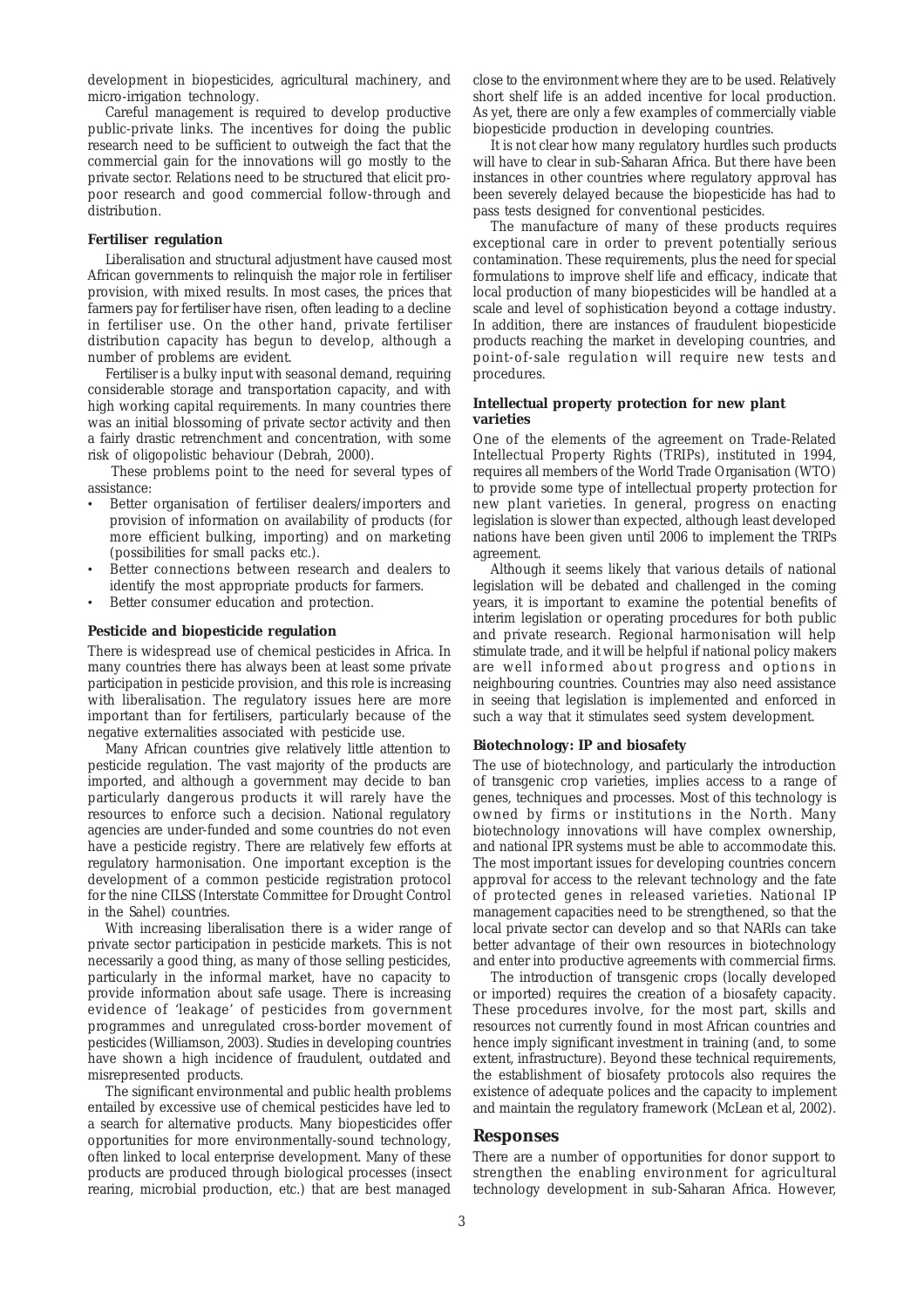development in biopesticides, agricultural machinery, and micro-irrigation technology.

Careful management is required to develop productive public-private links. The incentives for doing the public research need to be sufficient to outweigh the fact that the commercial gain for the innovations will go mostly to the private sector. Relations need to be structured that elicit propoor research and good commercial follow-through and distribution.

#### **Fertiliser regulation**

Liberalisation and structural adjustment have caused most African governments to relinquish the major role in fertiliser provision, with mixed results. In most cases, the prices that farmers pay for fertiliser have risen, often leading to a decline in fertiliser use. On the other hand, private fertiliser distribution capacity has begun to develop, although a number of problems are evident.

Fertiliser is a bulky input with seasonal demand, requiring considerable storage and transportation capacity, and with high working capital requirements. In many countries there was an initial blossoming of private sector activity and then a fairly drastic retrenchment and concentration, with some risk of oligopolistic behaviour (Debrah, 2000).

 These problems point to the need for several types of assistance:

- Better organisation of fertiliser dealers/importers and provision of information on availability of products (for more efficient bulking, importing) and on marketing (possibilities for small packs etc.).
- Better connections between research and dealers to identify the most appropriate products for farmers.
- Better consumer education and protection.

#### **Pesticide and biopesticide regulation**

There is widespread use of chemical pesticides in Africa. In many countries there has always been at least some private participation in pesticide provision, and this role is increasing with liberalisation. The regulatory issues here are more important than for fertilisers, particularly because of the negative externalities associated with pesticide use.

Many African countries give relatively little attention to pesticide regulation. The vast majority of the products are imported, and although a government may decide to ban particularly dangerous products it will rarely have the resources to enforce such a decision. National regulatory agencies are under-funded and some countries do not even have a pesticide registry. There are relatively few efforts at regulatory harmonisation. One important exception is the development of a common pesticide registration protocol for the nine CILSS (Interstate Committee for Drought Control in the Sahel) countries.

With increasing liberalisation there is a wider range of private sector participation in pesticide markets. This is not necessarily a good thing, as many of those selling pesticides, particularly in the informal market, have no capacity to provide information about safe usage. There is increasing evidence of 'leakage' of pesticides from government programmes and unregulated cross-border movement of pesticides (Williamson, 2003). Studies in developing countries have shown a high incidence of fraudulent, outdated and misrepresented products.

The significant environmental and public health problems entailed by excessive use of chemical pesticides have led to a search for alternative products. Many biopesticides offer opportunities for more environmentally-sound technology, often linked to local enterprise development. Many of these products are produced through biological processes (insect rearing, microbial production, etc.) that are best managed close to the environment where they are to be used. Relatively short shelf life is an added incentive for local production. As yet, there are only a few examples of commercially viable biopesticide production in developing countries.

It is not clear how many regulatory hurdles such products will have to clear in sub-Saharan Africa. But there have been instances in other countries where regulatory approval has been severely delayed because the biopesticide has had to pass tests designed for conventional pesticides.

The manufacture of many of these products requires exceptional care in order to prevent potentially serious contamination. These requirements, plus the need for special formulations to improve shelf life and efficacy, indicate that local production of many biopesticides will be handled at a scale and level of sophistication beyond a cottage industry. In addition, there are instances of fraudulent biopesticide products reaching the market in developing countries, and point-of-sale regulation will require new tests and procedures.

#### **Intellectual property protection for new plant varieties**

One of the elements of the agreement on Trade-Related Intellectual Property Rights (TRIPs), instituted in 1994, requires all members of the World Trade Organisation (WTO) to provide some type of intellectual property protection for new plant varieties. In general, progress on enacting legislation is slower than expected, although least developed nations have been given until 2006 to implement the TRIPs agreement.

Although it seems likely that various details of national legislation will be debated and challenged in the coming years, it is important to examine the potential benefits of interim legislation or operating procedures for both public and private research. Regional harmonisation will help stimulate trade, and it will be helpful if national policy makers are well informed about progress and options in neighbouring countries. Countries may also need assistance in seeing that legislation is implemented and enforced in such a way that it stimulates seed system development.

#### **Biotechnology: IP and biosafety**

The use of biotechnology, and particularly the introduction of transgenic crop varieties, implies access to a range of genes, techniques and processes. Most of this technology is owned by firms or institutions in the North. Many biotechnology innovations will have complex ownership, and national IPR systems must be able to accommodate this. The most important issues for developing countries concern approval for access to the relevant technology and the fate of protected genes in released varieties. National IP management capacities need to be strengthened, so that the local private sector can develop and so that NARIs can take better advantage of their own resources in biotechnology and enter into productive agreements with commercial firms.

The introduction of transgenic crops (locally developed or imported) requires the creation of a biosafety capacity. These procedures involve, for the most part, skills and resources not currently found in most African countries and hence imply significant investment in training (and, to some extent, infrastructure). Beyond these technical requirements, the establishment of biosafety protocols also requires the existence of adequate polices and the capacity to implement and maintain the regulatory framework (McLean et al, 2002).

#### **Responses**

There are a number of opportunities for donor support to strengthen the enabling environment for agricultural technology development in sub-Saharan Africa. However,